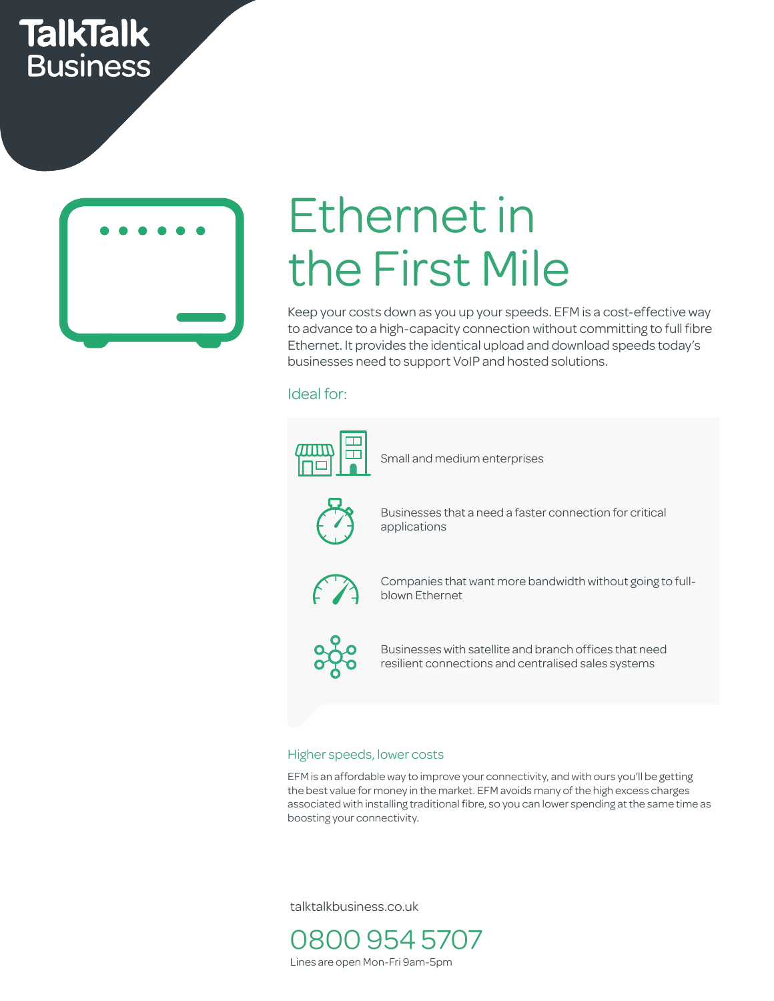# **TalkTalk Business**



# Ethernet in the First Mile

Keep your costs down as you up your speeds. EFM is a cost-effective way to advance to a high-capacity connection without committing to full fibre Ethernet. It provides the identical upload and download speeds today's businesses need to support VoIP and hosted solutions.<br>Ideal for:

## Ideal for:



### Higher speeds, lower costs

EFM is an affordable way to improve your connectivity, and with ours you'll be getting the best value for money in the market. EFM avoids many of the high excess charges associated with installing traditional fibre, so you can lower spending at the same time as boosting your connectivity.

talktalkbusiness.co.uk